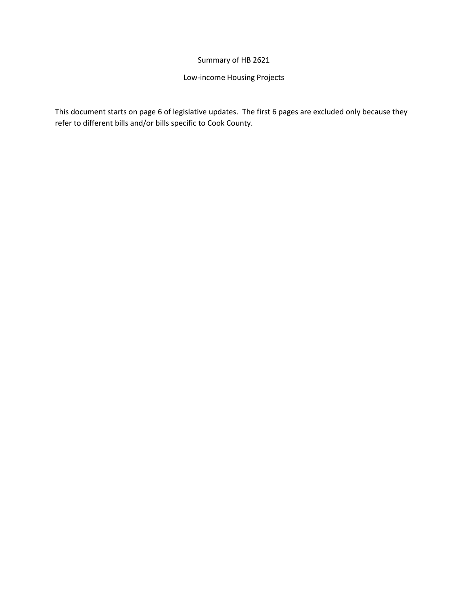## Summary of HB 2621

# Low-income Housing Projects

This document starts on page 6 of legislative updates. The first 6 pages are excluded only because they refer to different bills and/or bills specific to Cook County.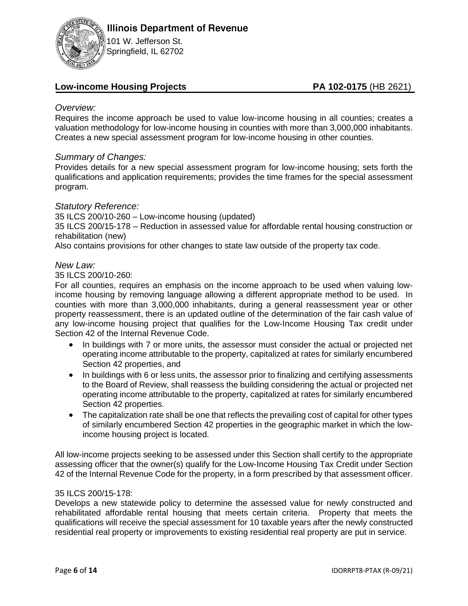

101 W. Jefferson St. Springfield, IL 62702

# Low-income Housing Projects **PA 102-0175** (HB 2621)

### *Overview:*

Requires the income approach be used to value low-income housing in all counties; creates a valuation methodology for low-income housing in counties with more than 3,000,000 inhabitants. Creates a new special assessment program for low-income housing in other counties.

## *Summary of Changes:*

Provides details for a new special assessment program for low-income housing; sets forth the qualifications and application requirements; provides the time frames for the special assessment program.

## *Statutory Reference:*

35 ILCS 200/10-260 – Low-income housing (updated) 35 ILCS 200/15-178 – Reduction in assessed value for affordable rental housing construction or rehabilitation (new)

Also contains provisions for other changes to state law outside of the property tax code.

### *New Law:*

35 ILCS 200/10-260:

For all counties, requires an emphasis on the income approach to be used when valuing lowincome housing by removing language allowing a different appropriate method to be used. In counties with more than 3,000,000 inhabitants, during a general reassessment year or other property reassessment, there is an updated outline of the determination of the fair cash value of any low-income housing project that qualifies for the Low-Income Housing Tax credit under Section 42 of the Internal Revenue Code.

- In buildings with 7 or more units, the assessor must consider the actual or projected net operating income attributable to the property, capitalized at rates for similarly encumbered Section 42 properties, and
- In buildings with 6 or less units, the assessor prior to finalizing and certifying assessments to the Board of Review, shall reassess the building considering the actual or projected net operating income attributable to the property, capitalized at rates for similarly encumbered Section 42 properties.
- The capitalization rate shall be one that reflects the prevailing cost of capital for other types of similarly encumbered Section 42 properties in the geographic market in which the lowincome housing project is located.

All low-income projects seeking to be assessed under this Section shall certify to the appropriate assessing officer that the owner(s) qualify for the Low-Income Housing Tax Credit under Section 42 of the Internal Revenue Code for the property, in a form prescribed by that assessment officer.

### 35 ILCS 200/15-178:

Develops a new statewide policy to determine the assessed value for newly constructed and rehabilitated affordable rental housing that meets certain criteria. Property that meets the qualifications will receive the special assessment for 10 taxable years after the newly constructed residential real property or improvements to existing residential real property are put in service.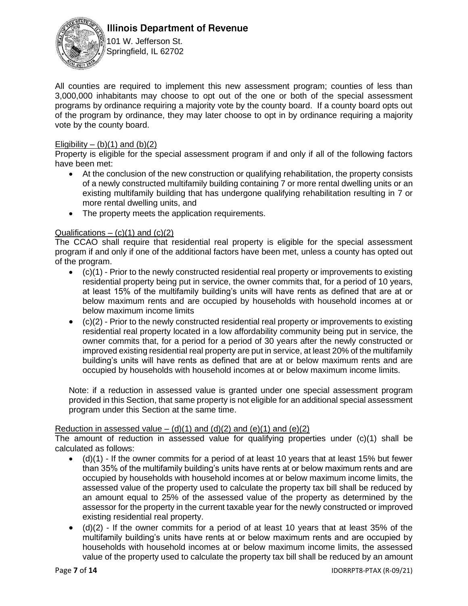

# **Illinois Department of Revenue**

101 W. Jefferson St. Springfield, IL 62702

All counties are required to implement this new assessment program; counties of less than 3,000,000 inhabitants may choose to opt out of the one or both of the special assessment programs by ordinance requiring a majority vote by the county board. If a county board opts out of the program by ordinance, they may later choose to opt in by ordinance requiring a majority vote by the county board.

### Eligibility – (b)(1) and (b)(2)

Property is eligible for the special assessment program if and only if all of the following factors have been met:

- At the conclusion of the new construction or qualifying rehabilitation, the property consists of a newly constructed multifamily building containing 7 or more rental dwelling units or an existing multifamily building that has undergone qualifying rehabilitation resulting in 7 or more rental dwelling units, and
- The property meets the application requirements.

## Qualifications  $-$  (c)(1) and (c)(2)

The CCAO shall require that residential real property is eligible for the special assessment program if and only if one of the additional factors have been met, unless a county has opted out of the program.

- $\bullet$  (c)(1) Prior to the newly constructed residential real property or improvements to existing residential property being put in service, the owner commits that, for a period of 10 years, at least 15% of the multifamily building's units will have rents as defined that are at or below maximum rents and are occupied by households with household incomes at or below maximum income limits
- (c)(2) Prior to the newly constructed residential real property or improvements to existing residential real property located in a low affordability community being put in service, the owner commits that, for a period for a period of 30 years after the newly constructed or improved existing residential real property are put in service, at least 20% of the multifamily building's units will have rents as defined that are at or below maximum rents and are occupied by households with household incomes at or below maximum income limits.

Note: if a reduction in assessed value is granted under one special assessment program provided in this Section, that same property is not eligible for an additional special assessment program under this Section at the same time.

### Reduction in assessed value – (d)(1) and (d)(2) and (e)(1) and (e)(2)

The amount of reduction in assessed value for qualifying properties under (c)(1) shall be calculated as follows:

- $(d)(1)$  If the owner commits for a period of at least 10 years that at least 15% but fewer than 35% of the multifamily building's units have rents at or below maximum rents and are occupied by households with household incomes at or below maximum income limits, the assessed value of the property used to calculate the property tax bill shall be reduced by an amount equal to 25% of the assessed value of the property as determined by the assessor for the property in the current taxable year for the newly constructed or improved existing residential real property.
- $\bullet$  (d)(2) If the owner commits for a period of at least 10 years that at least 35% of the multifamily building's units have rents at or below maximum rents and are occupied by households with household incomes at or below maximum income limits, the assessed value of the property used to calculate the property tax bill shall be reduced by an amount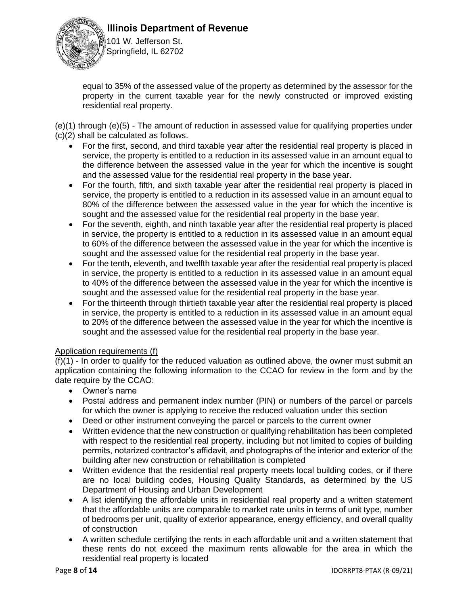



101 W. Jefferson St. Springfield, IL 62702

equal to 35% of the assessed value of the property as determined by the assessor for the property in the current taxable year for the newly constructed or improved existing residential real property.

(e)(1) through (e)(5) - The amount of reduction in assessed value for qualifying properties under (c)(2) shall be calculated as follows.

- For the first, second, and third taxable year after the residential real property is placed in service, the property is entitled to a reduction in its assessed value in an amount equal to the difference between the assessed value in the year for which the incentive is sought and the assessed value for the residential real property in the base year.
- For the fourth, fifth, and sixth taxable year after the residential real property is placed in service, the property is entitled to a reduction in its assessed value in an amount equal to 80% of the difference between the assessed value in the year for which the incentive is sought and the assessed value for the residential real property in the base year.
- For the seventh, eighth, and ninth taxable year after the residential real property is placed in service, the property is entitled to a reduction in its assessed value in an amount equal to 60% of the difference between the assessed value in the year for which the incentive is sought and the assessed value for the residential real property in the base year.
- For the tenth, eleventh, and twelfth taxable year after the residential real property is placed in service, the property is entitled to a reduction in its assessed value in an amount equal to 40% of the difference between the assessed value in the year for which the incentive is sought and the assessed value for the residential real property in the base year.
- For the thirteenth through thirtieth taxable year after the residential real property is placed in service, the property is entitled to a reduction in its assessed value in an amount equal to 20% of the difference between the assessed value in the year for which the incentive is sought and the assessed value for the residential real property in the base year.

### Application requirements (f)

(f)(1) - In order to qualify for the reduced valuation as outlined above, the owner must submit an application containing the following information to the CCAO for review in the form and by the date require by the CCAO:

- Owner's name
- Postal address and permanent index number (PIN) or numbers of the parcel or parcels for which the owner is applying to receive the reduced valuation under this section
- Deed or other instrument conveying the parcel or parcels to the current owner
- Written evidence that the new construction or qualifying rehabilitation has been completed with respect to the residential real property, including but not limited to copies of building permits, notarized contractor's affidavit, and photographs of the interior and exterior of the building after new construction or rehabilitation is completed
- Written evidence that the residential real property meets local building codes, or if there are no local building codes, Housing Quality Standards, as determined by the US Department of Housing and Urban Development
- A list identifying the affordable units in residential real property and a written statement that the affordable units are comparable to market rate units in terms of unit type, number of bedrooms per unit, quality of exterior appearance, energy efficiency, and overall quality of construction
- A written schedule certifying the rents in each affordable unit and a written statement that these rents do not exceed the maximum rents allowable for the area in which the residential real property is located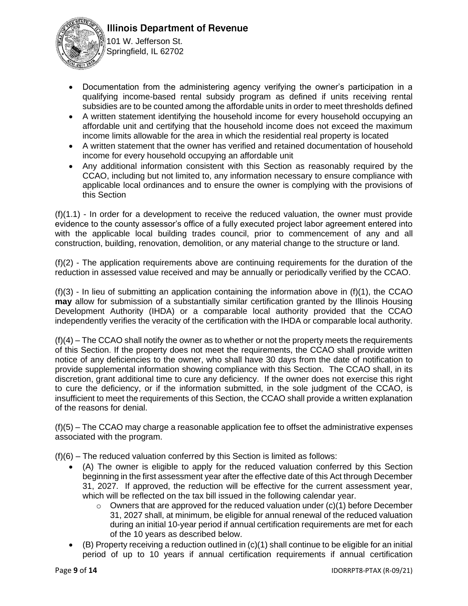



101 W. Jefferson St. Springfield, IL 62702

- Documentation from the administering agency verifying the owner's participation in a qualifying income-based rental subsidy program as defined if units receiving rental subsidies are to be counted among the affordable units in order to meet thresholds defined
- A written statement identifying the household income for every household occupying an affordable unit and certifying that the household income does not exceed the maximum income limits allowable for the area in which the residential real property is located
- A written statement that the owner has verified and retained documentation of household income for every household occupying an affordable unit
- Any additional information consistent with this Section as reasonably required by the CCAO, including but not limited to, any information necessary to ensure compliance with applicable local ordinances and to ensure the owner is complying with the provisions of this Section

(f)(1.1) - In order for a development to receive the reduced valuation, the owner must provide evidence to the county assessor's office of a fully executed project labor agreement entered into with the applicable local building trades council, prior to commencement of any and all construction, building, renovation, demolition, or any material change to the structure or land.

(f)(2) - The application requirements above are continuing requirements for the duration of the reduction in assessed value received and may be annually or periodically verified by the CCAO.

 $(f)(3)$  - In lieu of submitting an application containing the information above in  $(f)(1)$ , the CCAO **may** allow for submission of a substantially similar certification granted by the Illinois Housing Development Authority (IHDA) or a comparable local authority provided that the CCAO independently verifies the veracity of the certification with the IHDA or comparable local authority.

(f)(4) – The CCAO shall notify the owner as to whether or not the property meets the requirements of this Section. If the property does not meet the requirements, the CCAO shall provide written notice of any deficiencies to the owner, who shall have 30 days from the date of notification to provide supplemental information showing compliance with this Section. The CCAO shall, in its discretion, grant additional time to cure any deficiency. If the owner does not exercise this right to cure the deficiency, or if the information submitted, in the sole judgment of the CCAO, is insufficient to meet the requirements of this Section, the CCAO shall provide a written explanation of the reasons for denial.

(f)(5) – The CCAO may charge a reasonable application fee to offset the administrative expenses associated with the program.

(f)(6) – The reduced valuation conferred by this Section is limited as follows:

- (A) The owner is eligible to apply for the reduced valuation conferred by this Section beginning in the first assessment year after the effective date of this Act through December 31, 2027. If approved, the reduction will be effective for the current assessment year, which will be reflected on the tax bill issued in the following calendar year.
	- $\circ$  Owners that are approved for the reduced valuation under (c)(1) before December 31, 2027 shall, at minimum, be eligible for annual renewal of the reduced valuation during an initial 10-year period if annual certification requirements are met for each of the 10 years as described below.
- (B) Property receiving a reduction outlined in (c)(1) shall continue to be eligible for an initial period of up to 10 years if annual certification requirements if annual certification